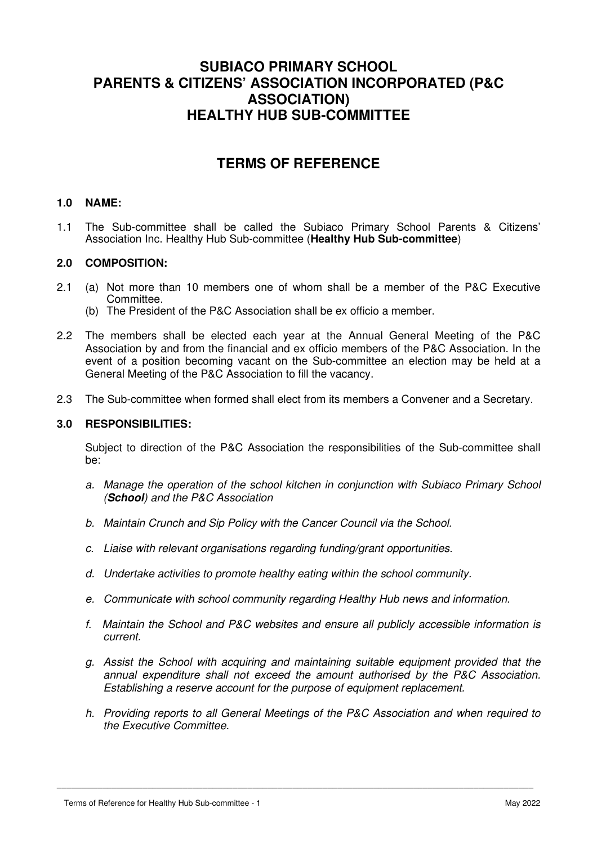# **SUBIACO PRIMARY SCHOOL PARENTS & CITIZENS' ASSOCIATION INCORPORATED (P&C ASSOCIATION) HEALTHY HUB SUB-COMMITTEE**

# **TERMS OF REFERENCE**

# **1.0 NAME:**

1.1 The Sub-committee shall be called the Subiaco Primary School Parents & Citizens' Association Inc. Healthy Hub Sub-committee (**Healthy Hub Sub-committee**)

# **2.0 COMPOSITION:**

- 2.1 (a) Not more than 10 members one of whom shall be a member of the P&C Executive Committee.
	- (b) The President of the P&C Association shall be ex officio a member.
- 2.2 The members shall be elected each year at the Annual General Meeting of the P&C Association by and from the financial and ex officio members of the P&C Association. In the event of a position becoming vacant on the Sub-committee an election may be held at a General Meeting of the P&C Association to fill the vacancy.
- 2.3 The Sub-committee when formed shall elect from its members a Convener and a Secretary.

# **3.0 RESPONSIBILITIES:**

 Subject to direction of the P&C Association the responsibilities of the Sub-committee shall be:

- a. Manage the operation of the school kitchen in conjunction with Subiaco Primary School (**School**) and the P&C Association
- b. Maintain Crunch and Sip Policy with the Cancer Council via the School.
- c. Liaise with relevant organisations regarding funding/grant opportunities.
- d. Undertake activities to promote healthy eating within the school community.
- e. Communicate with school community regarding Healthy Hub news and information.
- f. Maintain the School and P&C websites and ensure all publicly accessible information is current.
- g. Assist the School with acquiring and maintaining suitable equipment provided that the annual expenditure shall not exceed the amount authorised by the P&C Association. Establishing a reserve account for the purpose of equipment replacement.
- h. Providing reports to all General Meetings of the P&C Association and when required to the Executive Committee.

\_\_\_\_\_\_\_\_\_\_\_\_\_\_\_\_\_\_\_\_\_\_\_\_\_\_\_\_\_\_\_\_\_\_\_\_\_\_\_\_\_\_\_\_\_\_\_\_\_\_\_\_\_\_\_\_\_\_\_\_\_\_\_\_\_\_\_\_\_\_\_\_\_\_\_\_\_\_\_\_\_\_\_\_\_\_\_\_\_\_\_\_\_\_\_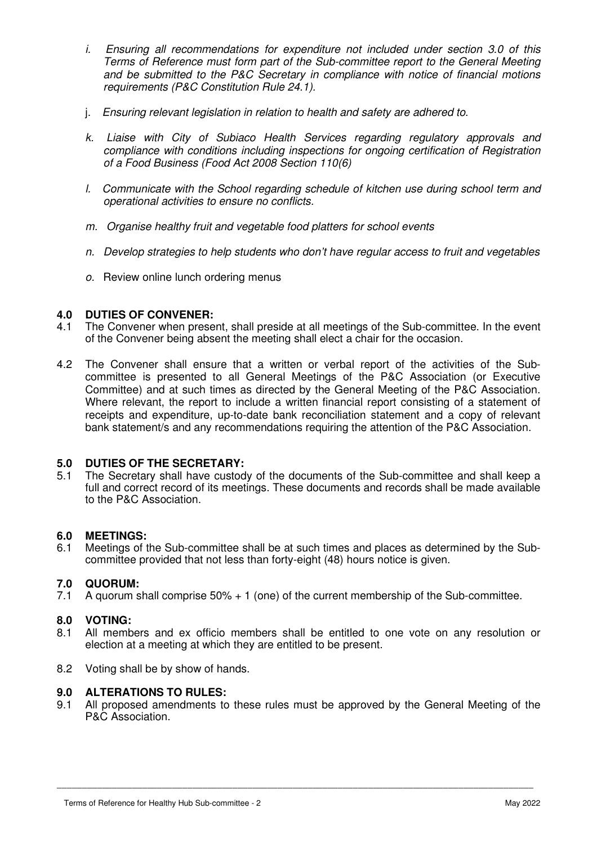- i. Ensuring all recommendations for expenditure not included under section 3.0 of this Terms of Reference must form part of the Sub-committee report to the General Meeting and be submitted to the P&C Secretary in compliance with notice of financial motions requirements (P&C Constitution Rule 24.1).
- j. Ensuring relevant legislation in relation to health and safety are adhered to.
- k. Liaise with City of Subiaco Health Services regarding regulatory approvals and compliance with conditions including inspections for ongoing certification of Registration of a Food Business (Food Act 2008 Section 110(6)
- l. Communicate with the School regarding schedule of kitchen use during school term and operational activities to ensure no conflicts.
- m. Organise healthy fruit and vegetable food platters for school events
- n. Develop strategies to help students who don't have regular access to fruit and vegetables
- o. Review online lunch ordering menus

# **4.0 DUTIES OF CONVENER:**

- 4.1 The Convener when present, shall preside at all meetings of the Sub-committee. In the event of the Convener being absent the meeting shall elect a chair for the occasion.
- 4.2 The Convener shall ensure that a written or verbal report of the activities of the Subcommittee is presented to all General Meetings of the P&C Association (or Executive Committee) and at such times as directed by the General Meeting of the P&C Association. Where relevant, the report to include a written financial report consisting of a statement of receipts and expenditure, up-to-date bank reconciliation statement and a copy of relevant bank statement/s and any recommendations requiring the attention of the P&C Association.

#### **5.0 DUTIES OF THE SECRETARY:**

5.1 The Secretary shall have custody of the documents of the Sub-committee and shall keep a full and correct record of its meetings. These documents and records shall be made available to the P&C Association.

#### **6.0 MEETINGS:**

6.1 Meetings of the Sub-committee shall be at such times and places as determined by the Subcommittee provided that not less than forty-eight (48) hours notice is given.

#### **7.0 QUORUM:**

7.1 A quorum shall comprise 50% + 1 (one) of the current membership of the Sub-committee.

#### **8.0 VOTING:**

- 8.1 All members and ex officio members shall be entitled to one vote on any resolution or election at a meeting at which they are entitled to be present.
- 8.2 Voting shall be by show of hands.

#### **9.0 ALTERATIONS TO RULES:**

9.1 All proposed amendments to these rules must be approved by the General Meeting of the P&C Association.

\_\_\_\_\_\_\_\_\_\_\_\_\_\_\_\_\_\_\_\_\_\_\_\_\_\_\_\_\_\_\_\_\_\_\_\_\_\_\_\_\_\_\_\_\_\_\_\_\_\_\_\_\_\_\_\_\_\_\_\_\_\_\_\_\_\_\_\_\_\_\_\_\_\_\_\_\_\_\_\_\_\_\_\_\_\_\_\_\_\_\_\_\_\_\_